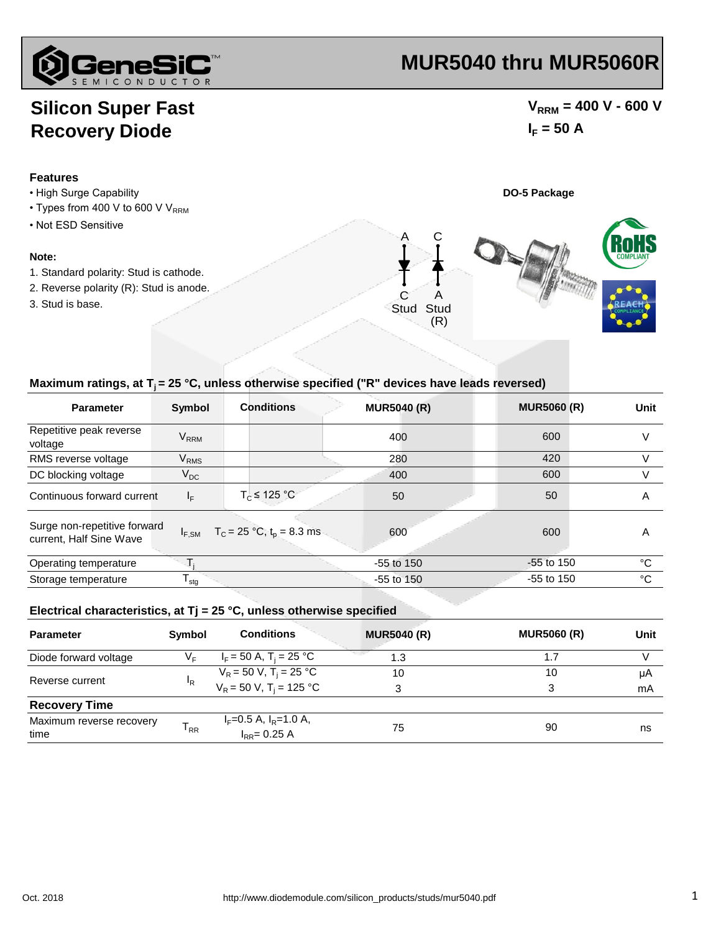

# **MUR5040 thru MUR5060R**

## **Silicon Super Fast Recovery Diode**

**Features**

### $V_{RRM}$  = 400 V - 600 V  $I_F = 50 A$

#### • High Surge Capability **DO-5 Package** • Not ESD Sensitive **Note:** 1. Standard polarity: Stud is cathode. 3. Stud is base. 2. Reverse polarity (R): Stud is anode. • Types from 400 V to 600 V  $V_{RRM}$ C A A C Stud Stud (R)

### Maximum ratings, at T<sub>i</sub> = 25 °C, unless otherwise specified ("R" devices have leads reversed)

| <b>Parameter</b>                                        | <b>Symbol</b>          | <b>Conditions</b>                                          | <b>MUR5040 (R)</b> | <b>MUR5060 (R)</b> | <b>Unit</b> |
|---------------------------------------------------------|------------------------|------------------------------------------------------------|--------------------|--------------------|-------------|
| Repetitive peak reverse<br>voltage                      | <b>V<sub>RRM</sub></b> |                                                            | 400                | 600                | V           |
| RMS reverse voltage                                     | <b>V<sub>RMS</sub></b> |                                                            | 280                | 420                | V           |
| DC blocking voltage                                     | $V_{DC}$               |                                                            | 400                | 600                | V           |
| Continuous forward current                              | $I_F$                  | $T_c \leq 125 °C$                                          | 50                 | 50                 | A           |
| Surge non-repetitive forward<br>current, Half Sine Wave |                        | $I_{F,SM}$ T <sub>C</sub> = 25 °C, t <sub>p</sub> = 8.3 ms | 600                | 600                | A           |
| Operating temperature                                   |                        |                                                            | $-55$ to 150       | $-55$ to 150       | °C          |
| Storage temperature                                     | l <sub>stq</sub>       |                                                            | $-55$ to $150$     | $-55$ to 150       | °C          |

#### **Electrical characteristics, at Tj = 25 °C, unless otherwise specified**

| <b>Parameter</b>                 | Symbol         | <b>Conditions</b>                                  | <b>MUR5040 (R)</b> | <b>MUR5060 (R)</b> | Unit |
|----------------------------------|----------------|----------------------------------------------------|--------------------|--------------------|------|
| Diode forward voltage            | V⊧             | $I_F = 50$ A, T <sub>i</sub> = 25 °C               | 1.3                | 1.7                |      |
|                                  | <sup>I</sup> R | $V_R$ = 50 V, T <sub>i</sub> = 25 °C               | 10                 | 10                 | μA   |
| Reverse current                  |                | $V_R = 50 V$ , T <sub>i</sub> = 125 °C             | 3                  | 3                  | mA   |
| <b>Recovery Time</b>             |                |                                                    |                    |                    |      |
| Maximum reverse recovery<br>time | $T_{RR}$       | $I_F = 0.5$ A, $I_R = 1.0$ A,<br>$I_{RR} = 0.25 A$ | 75                 | 90                 | ns   |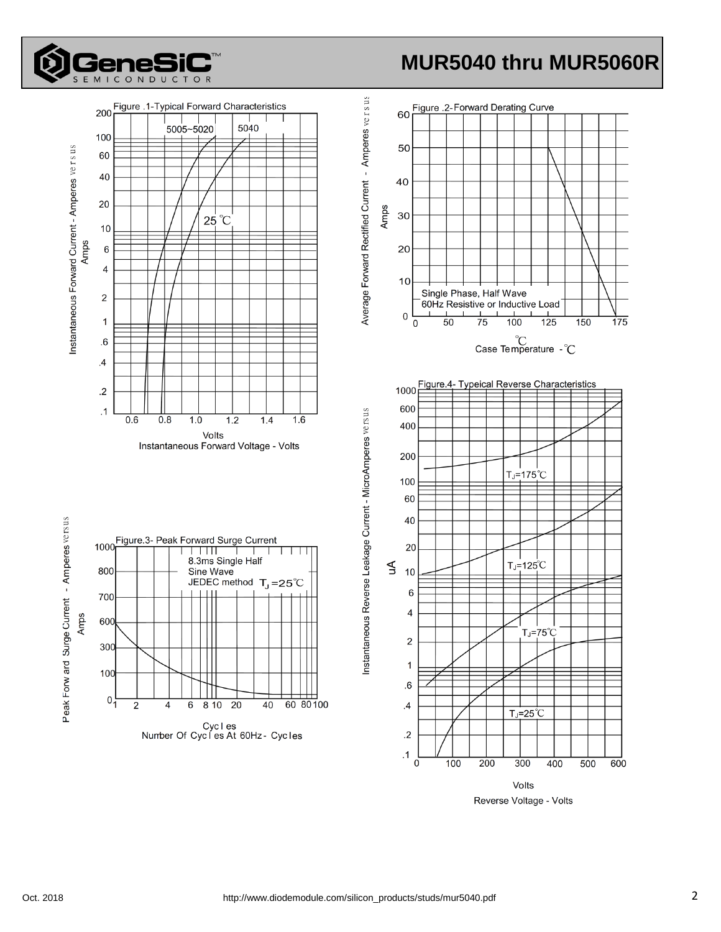

# **MUR5040 thru MUR5060R**



Reverse Voltage - Volts